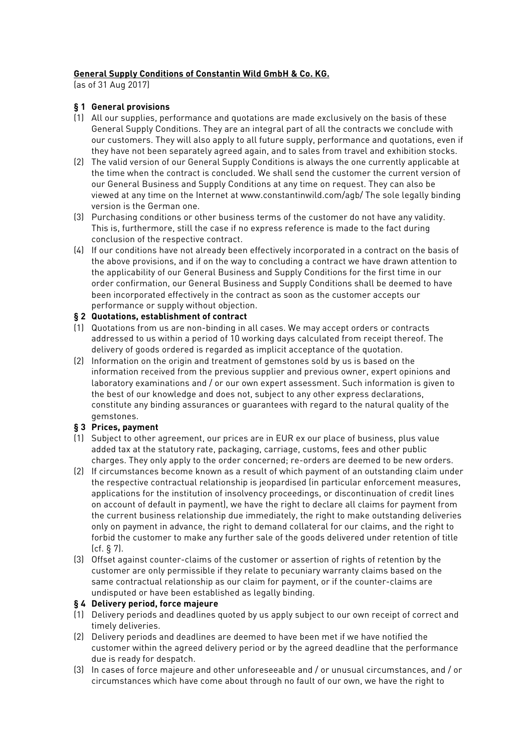# **General Supply Conditions of Constantin Wild GmbH & Co. KG.**

(as of 31 Aug 2017)

## **§ 1 General provisions**

- (1) All our supplies, performance and quotations are made exclusively on the basis of these General Supply Conditions. They are an integral part of all the contracts we conclude with our customers. They will also apply to all future supply, performance and quotations, even if they have not been separately agreed again, and to sales from travel and exhibition stocks.
- (2) The valid version of our General Supply Conditions is always the one currently applicable at the time when the contract is concluded. We shall send the customer the current version of our General Business and Supply Conditions at any time on request. They can also be viewed at any time on the Internet at www.constantinwild.com/agb/ The sole legally binding version is the German one.
- (3) Purchasing conditions or other business terms of the customer do not have any validity. This is, furthermore, still the case if no express reference is made to the fact during conclusion of the respective contract.
- (4) If our conditions have not already been effectively incorporated in a contract on the basis of the above provisions, and if on the way to concluding a contract we have drawn attention to the applicability of our General Business and Supply Conditions for the first time in our order confirmation, our General Business and Supply Conditions shall be deemed to have been incorporated effectively in the contract as soon as the customer accepts our performance or supply without objection.

## **§ 2 Quotations, establishment of contract**

- (1) Quotations from us are non-binding in all cases. We may accept orders or contracts addressed to us within a period of 10 working days calculated from receipt thereof. The delivery of goods ordered is regarded as implicit acceptance of the quotation.
- (2) Information on the origin and treatment of gemstones sold by us is based on the information received from the previous supplier and previous owner, expert opinions and laboratory examinations and / or our own expert assessment. Such information is given to the best of our knowledge and does not, subject to any other express declarations, constitute any binding assurances or guarantees with regard to the natural quality of the gemstones.

# **§ 3 Prices, payment**

- (1) Subject to other agreement, our prices are in EUR ex our place of business, plus value added tax at the statutory rate, packaging, carriage, customs, fees and other public charges. They only apply to the order concerned; re-orders are deemed to be new orders.
- (2) If circumstances become known as a result of which payment of an outstanding claim under the respective contractual relationship is jeopardised (in particular enforcement measures, applications for the institution of insolvency proceedings, or discontinuation of credit lines on account of default in payment), we have the right to declare all claims for payment from the current business relationship due immediately, the right to make outstanding deliveries only on payment in advance, the right to demand collateral for our claims, and the right to forbid the customer to make any further sale of the goods delivered under retention of title (cf. § 7).
- (3) Offset against counter-claims of the customer or assertion of rights of retention by the customer are only permissible if they relate to pecuniary warranty claims based on the same contractual relationship as our claim for payment, or if the counter-claims are undisputed or have been established as legally binding.

### **§ 4 Delivery period, force majeure**

- (1) Delivery periods and deadlines quoted by us apply subject to our own receipt of correct and timely deliveries.
- (2) Delivery periods and deadlines are deemed to have been met if we have notified the customer within the agreed delivery period or by the agreed deadline that the performance due is ready for despatch.
- (3) In cases of force majeure and other unforeseeable and / or unusual circumstances, and / or circumstances which have come about through no fault of our own, we have the right to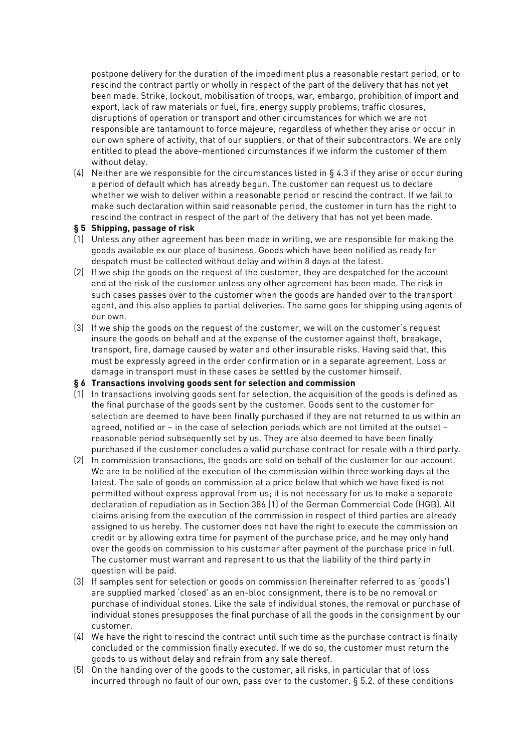postpone delivery for the duration of the impediment plus a reasonable restart period, or to rescind the contract partly or wholly in respect of the part of the delivery that has not yet been made. Strike, lockout, mobilisation of troops, war, embargo, prohibition of import and export, lack of raw materials or fuel, fire, energy supply problems, traffic closures, disruptions of operation or transport and other circumstances for which we are not responsible are tantamount to force majeure, regardless of whether they arise or occur in our own sphere of activity, that of our suppliers, or that of their subcontractors. We are only entitled to plead the above-mentioned circumstances if we inform the customer of them without delay.

(4) Neither are we responsible for the circumstances listed in § 4.3 if they arise or occur during a period of default which has already begun. The customer can request us to declare whether we wish to deliver within a reasonable period or rescind the contract. If we fail to make such declaration within said reasonable period, the customer in turn has the right to rescind the contract in respect of the part of the delivery that has not yet been made.

#### **§ 5 Shipping, passage of risk**

- (1) Unless any other agreement has been made in writing, we are responsible for making the goods available ex our place of business. Goods which have been notified as ready for despatch must be collected without delay and within 8 days at the latest.
- (2) If we ship the goods on the request of the customer, they are despatched for the account and at the risk of the customer unless any other agreement has been made. The risk in such cases passes over to the customer when the goods are handed over to the transport agent, and this also applies to partial deliveries. The same goes for shipping using agents of our own.
- (3) If we ship the goods on the request of the customer, we will on the customer's request insure the goods on behalf and at the expense of the customer against theft, breakage, transport, fire, damage caused by water and other insurable risks. Having said that, this must be expressly agreed in the order confirmation or in a separate agreement. Loss or damage in transport must in these cases be settled by the customer himself.

### **§ 6 Transactions involving goods sent for selection and commission**

- (1) In transactions involving goods sent for selection, the acquisition of the goods is defined as the final purchase of the goods sent by the customer. Goods sent to the customer for selection are deemed to have been finally purchased if they are not returned to us within an agreed, notified or – in the case of selection periods which are not limited at the outset – reasonable period subsequently set by us. They are also deemed to have been finally purchased if the customer concludes a valid purchase contract for resale with a third party.
- (2) In commission transactions, the goods are sold on behalf of the customer for our account. We are to be notified of the execution of the commission within three working days at the latest. The sale of goods on commission at a price below that which we have fixed is not permitted without express approval from us; it is not necessary for us to make a separate declaration of repudiation as in Section 386 (1) of the German Commercial Code (HGB). All claims arising from the execution of the commission in respect of third parties are already assigned to us hereby. The customer does not have the right to execute the commission on credit or by allowing extra time for payment of the purchase price, and he may only hand over the goods on commission to his customer after payment of the purchase price in full. The customer must warrant and represent to us that the liability of the third party in question will be paid.
- (3) If samples sent for selection or goods on commission (hereinafter referred to as 'goods') are supplied marked 'closed' as an en-bloc consignment, there is to be no removal or purchase of individual stones. Like the sale of individual stones, the removal or purchase of individual stones presupposes the final purchase of all the goods in the consignment by our customer.
- (4) We have the right to rescind the contract until such time as the purchase contract is finally concluded or the commission finally executed. If we do so, the customer must return the goods to us without delay and refrain from any sale thereof.
- (5) On the handing over of the goods to the customer, all risks, in particular that of loss incurred through no fault of our own, pass over to the customer. § 5.2. of these conditions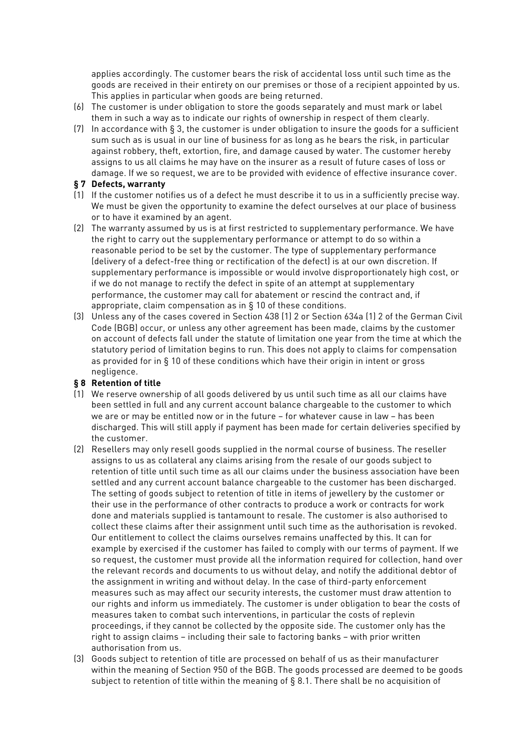applies accordingly. The customer bears the risk of accidental loss until such time as the goods are received in their entirety on our premises or those of a recipient appointed by us. This applies in particular when goods are being returned.

- (6) The customer is under obligation to store the goods separately and must mark or label them in such a way as to indicate our rights of ownership in respect of them clearly.
- (7) In accordance with § 3, the customer is under obligation to insure the goods for a sufficient sum such as is usual in our line of business for as long as he bears the risk, in particular against robbery, theft, extortion, fire, and damage caused by water. The customer hereby assigns to us all claims he may have on the insurer as a result of future cases of loss or damage. If we so request, we are to be provided with evidence of effective insurance cover.

### **§ 7 Defects, warranty**

- (1) If the customer notifies us of a defect he must describe it to us in a sufficiently precise way. We must be given the opportunity to examine the defect ourselves at our place of business or to have it examined by an agent.
- (2) The warranty assumed by us is at first restricted to supplementary performance. We have the right to carry out the supplementary performance or attempt to do so within a reasonable period to be set by the customer. The type of supplementary performance (delivery of a defect-free thing or rectification of the defect) is at our own discretion. If supplementary performance is impossible or would involve disproportionately high cost, or if we do not manage to rectify the defect in spite of an attempt at supplementary performance, the customer may call for abatement or rescind the contract and, if appropriate, claim compensation as in § 10 of these conditions.
- (3) Unless any of the cases covered in Section 438 (1) 2 or Section 634a (1) 2 of the German Civil Code (BGB) occur, or unless any other agreement has been made, claims by the customer on account of defects fall under the statute of limitation one year from the time at which the statutory period of limitation begins to run. This does not apply to claims for compensation as provided for in  $\S$  10 of these conditions which have their origin in intent or gross negligence.

### **§ 8 Retention of title**

- (1) We reserve ownership of all goods delivered by us until such time as all our claims have been settled in full and any current account balance chargeable to the customer to which we are or may be entitled now or in the future – for whatever cause in law – has been discharged. This will still apply if payment has been made for certain deliveries specified by the customer.
- (2) Resellers may only resell goods supplied in the normal course of business. The reseller assigns to us as collateral any claims arising from the resale of our goods subject to retention of title until such time as all our claims under the business association have been settled and any current account balance chargeable to the customer has been discharged. The setting of goods subject to retention of title in items of jewellery by the customer or their use in the performance of other contracts to produce a work or contracts for work done and materials supplied is tantamount to resale. The customer is also authorised to collect these claims after their assignment until such time as the authorisation is revoked. Our entitlement to collect the claims ourselves remains unaffected by this. It can for example by exercised if the customer has failed to comply with our terms of payment. If we so request, the customer must provide all the information required for collection, hand over the relevant records and documents to us without delay, and notify the additional debtor of the assignment in writing and without delay. In the case of third-party enforcement measures such as may affect our security interests, the customer must draw attention to our rights and inform us immediately. The customer is under obligation to bear the costs of measures taken to combat such interventions, in particular the costs of replevin proceedings, if they cannot be collected by the opposite side. The customer only has the right to assign claims – including their sale to factoring banks – with prior written authorisation from us.
- (3) Goods subject to retention of title are processed on behalf of us as their manufacturer within the meaning of Section 950 of the BGB. The goods processed are deemed to be goods subject to retention of title within the meaning of § 8.1. There shall be no acquisition of